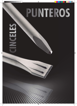# PUNTEROS

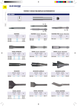#### **PUNTEROS Y CINCELES PARA MARTILLOS ELECTRONEUMÁTICOS**



| ROZADOR |             |     | <b>ROZADOR LADRILLO</b> |        |             |     | <b>ROZADOR ALE</b> |        |       |            |
|---------|-------------|-----|-------------------------|--------|-------------|-----|--------------------|--------|-------|------------|
|         | ANCHO LONG. |     | €                       |        | ANCHO LONG. |     | €                  |        | ANCHO | <b>LON</b> |
|         | mm          | mm  |                         |        | mm          | mm  |                    |        | mm    | mm         |
| R0126   | <b>25</b>   | 300 | 41.70                   | RL0132 | 32          | 300 | 50.72              | RA0135 | 35    | 380        |



| <b>CINCEL ANCHO</b> |     |             |  |  |  |
|---------------------|-----|-------------|--|--|--|
|                     |     | €           |  |  |  |
| mm                  | mm  |             |  |  |  |
| 50                  | 400 | 30,47       |  |  |  |
| 75                  | 300 | 40,02       |  |  |  |
| 115                 | 350 | 79,41       |  |  |  |
|                     |     | ANCHO LONG. |  |  |  |

| ANCHO LONG.<br>ANCHO LONG.<br>€<br>€                         |        |
|--------------------------------------------------------------|--------|
| mm<br>mm<br>mm<br>mm                                         |        |
| 41.70<br>50.72<br>RL0132<br>300<br>32<br>380<br>RA0135<br>35 | 120,50 |



| <b>CINCEL AZULEJOS</b> |             |     |       |  |  |
|------------------------|-------------|-----|-------|--|--|
|                        | ANCHO LONG. |     | €     |  |  |
|                        | mm          | mm  |       |  |  |
| CZ0150                 | 50          | 300 | 48,17 |  |  |



| <b>CINCEL MORTERO</b> |             |     |       |  |  |  |
|-----------------------|-------------|-----|-------|--|--|--|
|                       | ANCHO LONG. |     | €     |  |  |  |
|                       | mm          | mm  |       |  |  |  |
| CM0110                | 8           | 300 | 57,23 |  |  |  |

Punteros y Cinceles

Punteros y Cinceles

Gris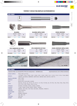#### **PUNTEROS Y CINCELES PARA MARTILLOS ELECTRONEUMÁTICOS**

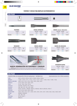#### **PUNTEROS Y CINCELES PARA MARTILLOS ELECTRONEUMÁTICOS**



#### **SDS PLUS**

#### VÁLIDOS PARA LOS SIGUIENTES TIPOS DE MÁQUINAS Y REFERENCIAS: EQUIVALENCIAS CON OTROS MANGOS

| AEG:                       | APH14, PH210, PHE16, PHE19, PHE20, PHE24, PHE26.                                    |
|----------------------------|-------------------------------------------------------------------------------------|
| BOSCH:                     | 11207, 11210, 11211, 11212, 11213, 11215, 11221, 11222, 11224, 11228, 11236.        |
| <b>BLACK &amp; DECKER:</b> | 5009, 5013, 5014, 5016, 5053, 5054, 5056, 5057.                                     |
| DEWALT:                    | 514K, 523K, 557K, 566K, 567K.                                                       |
| HILTI:                     | TE15C, TE24, TE25, TE104.                                                           |
| <b>HITACHI:</b>            | DH22VB, DH22VD, VR16, BRT22.                                                        |
| KANGO:                     | 200, 285, 327, 422, 426, 430D.                                                      |
| MAKITA:                    | HR160, HR1821, HR2000, HR2010, HR2400, HR2410, HR2420, HR2511.                      |
| METABO:                    | 6010, 6018, 6020, 6024, 6026                                                        |
| MILWAUKEE:                 | 5302, 5303, 5312, 5317, 5320, 5324, 5343, 5344, 5347, 5348, 5362, 5366, 5368, 5369. |
| RYOBI:                     | ER382K, DE382NP.                                                                    |
| SPIT:                      | 355, 385, 455.                                                                      |
| <b>WACKER:</b>             | ED160, ED211.                                                                       |
| SPARKY:                    | BPR241E                                                                             |

**BLUE-MASTER**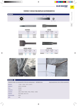#### **PUNTEROS Y CINCELES PARA MARTILLOS ELECTRONEUMÁTICOS**



Gris Punteros y Cinceles

Gris

Punteros y Cinceles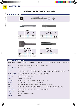#### **PUNTEROS Y CINCELES PARA MARTILLOS ELECTRONEUMÁTICOS**

**19** 77  $\frac{1}{35} + \frac{10}{9} + \frac{1}{19}$  **BOSCH Ø 16,5 mm** P05300 300 **P05400** 400<br>**P05600** 600 P05600 C05300 25 300 C05400 25 400<br>C05600 25 600 C05600 CA05300 50 300<br>CA05400 50 350 CA05400 CA0575 75 300 R05300 25 300 **PUNTERO** LONG. mm **€ CINCEL** ANCHO LONG. mm  $\sum_{m,m}$  **∈ CINCEL ANCHO** ANCHO LONG. mm  $\begin{matrix} 1 & 0 & \cdots & \cdots \\ 0 & 0 & \cdots & \cdots \end{matrix}$ **ROZADOR** ANCHO LONG. mm  $\begin{matrix} 2^{110} \text{ } \\ \text{mm} \end{matrix}$   $\in$ 35,69 42,75 53,17 35,69 50,28 53,82 44,21 72,63 50,33 68,02

#### **BOSCH Ø 16,5 mm 19**

VÁLIDOS PARA LOS SIGUIENTES TIPOS DE MÁQUINAS Y REFERENCIAS: EQUIVALENCIAS CON OTROS MANGOS

| AEG:                       | PH26, PHD26, PH38, PHD38, PH240, PH240D, PH350, PH350D.                                                                                                                                         |
|----------------------------|-------------------------------------------------------------------------------------------------------------------------------------------------------------------------------------------------|
| ATLAS COPCO:               | PH5H, PH11H, PB10H, PHE5H                                                                                                                                                                       |
| BOSCH:                     | 11202, 11203, 11204, 11205, 11206, 11207, 11209, 11212, 11214, 11219, 11220, 11232, 11233, 11244E,<br>11306, 11307, 11310, 1314, GBH7.45D, GBH7.75DE, UBH6.35, UBH6.35D, UBH10.5, H12.50, USH6. |
| <b>BLACK &amp; DECKER:</b> | 5041, 5042, 5043, 5044, 5045, 5059, 5093, 5095, 5096, 5098.                                                                                                                                     |
| DEWALT:                    | 530K, 531K, 532K, 533K, 551K.                                                                                                                                                                   |
| ELU:                       | SBH41K, BH41EK, BH46EK.                                                                                                                                                                         |
| <b>HITACHI:</b>            | DH38YE, DH38YF, DH40FA, DH40FB, DH50SB, DS50SB, H45SB.                                                                                                                                          |
| KANGO:                     | 430S, 501S, 637S, 750S, 950KS, 950S, 950XS, 978S.                                                                                                                                               |
| <b>MAKITA:</b>             | HM0810B, HR3520B, HR3520EB, HR3850B, HR3851, HR4040C, HR5000.                                                                                                                                   |
| METABO:                    | 11285, 11295, 11305, 11315, BhE6030S, RH66, RH99, RH99X, 1129, 1130, 6030, 6040, 6046.                                                                                                          |
| MILWAUKEE:                 | 5309, 5316, 5334, 5341, 5343, 5344, 5367, 5348, 5352, 5353.                                                                                                                                     |
| PEUGEOT:                   | PM26, PM38.                                                                                                                                                                                     |
| <b>RYOBI:</b>              | ED350K, ED382, ED382P, ER382.                                                                                                                                                                   |
| <b>WACKER:</b>             | EBH7S.                                                                                                                                                                                          |

Gris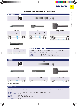#### **PUNTEROS Y CINCELES PARA MARTILLOS ELECTRONEUMÁTICOS**





**PUNTERO**

|  | and the control of the con- |  |
|--|-----------------------------|--|



| <b>PUNTERO</b> |       |       |  |  |  |
|----------------|-------|-------|--|--|--|
|                | LONG. | €     |  |  |  |
|                | mm    |       |  |  |  |
| P06300         | 300   | 42,26 |  |  |  |
| P06400         | 400   | 41,49 |  |  |  |
| P06450         | 450   | 49,97 |  |  |  |
| P06600         | 600   | 65,49 |  |  |  |



| <b>CINCEL ANCHO</b> |             |     |        |  |  |  |
|---------------------|-------------|-----|--------|--|--|--|
|                     | ANCHO LONG. |     | €      |  |  |  |
|                     | mm          | mm  |        |  |  |  |
| CA06300             | 50          | 300 | 83,84  |  |  |  |
| CA06400             | 50          | 400 | 92,48  |  |  |  |
| CA0675300           | 75          | 300 | 60,56  |  |  |  |
| CA0675400           | 75          | 400 | 61,44  |  |  |  |
| CA06120             | 110         | 480 | 134,72 |  |  |  |



| <b>ROZADOR</b> |             |     |       |  |  |
|----------------|-------------|-----|-------|--|--|
|                | ANCHO LONG. |     | €     |  |  |
|                | mm          | mm  |       |  |  |
| R06300         | 33          | 300 | 77,75 |  |  |
|                |             |     |       |  |  |

| VÁLIDOS PARA LOS SIGUIENTES TIPOS DE MÁQUINAS Y REFERENCIAS:                                                                                              |  |
|-----------------------------------------------------------------------------------------------------------------------------------------------------------|--|
| PB6C, PB10, PB10C, PB14C, PH11C.<br>ATLAS COPCO:<br>DH50SA, DH50SA1, H55SA, H55SC.<br><b>HITACHI:</b><br>900, 900X, 928, 950, 950K, 950X, 1400.<br>KANGO: |  |



\* Hasta fin de existencias.

#### **BOSCH 28**

P07450

VÁLIDOS PARA LOS SIGUIENTES TIPOS DE MÁQUINAS Y REFERENCIAS: EQUIVALENCIAS CON OTROS MANGOS

75,02

200,05

CA07125\*

77,49

| ATLAS COPCO:               | PB32B.                                                        |
|----------------------------|---------------------------------------------------------------|
| BOSCH:                     | 11304, 11308, 12308, 12314, HSH10, HSH27, HSH28, USH27, GSH27 |
| <b>BLACK &amp; DECKER:</b> | 5027                                                          |
| HITACHI:                   | H65, H85, H90SB.                                              |
| MAKITA:                    | HM1303B, HM1500B, HM1800.                                     |
| MILWAUKEE:                 | 5338.                                                         |

C07450

# 481